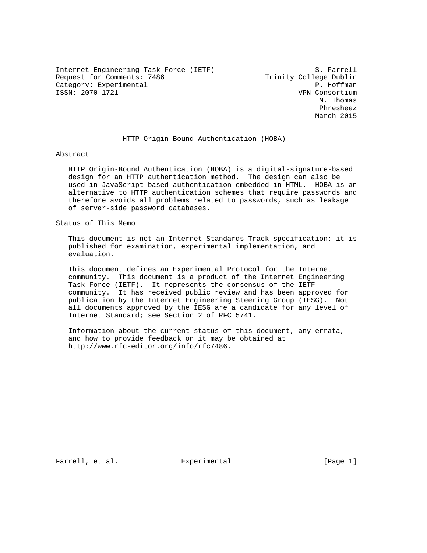Internet Engineering Task Force (IETF) S. Farrell Request for Comments: 7486 Trinity College Dublin Category: Experimental extension of the P. Hoffman ISSN: 2070-1721 VPN Consortium

 M. Thomas Phresheez March 2015

## HTTP Origin-Bound Authentication (HOBA)

Abstract

 HTTP Origin-Bound Authentication (HOBA) is a digital-signature-based design for an HTTP authentication method. The design can also be used in JavaScript-based authentication embedded in HTML. HOBA is an alternative to HTTP authentication schemes that require passwords and therefore avoids all problems related to passwords, such as leakage of server-side password databases.

Status of This Memo

 This document is not an Internet Standards Track specification; it is published for examination, experimental implementation, and evaluation.

 This document defines an Experimental Protocol for the Internet community. This document is a product of the Internet Engineering Task Force (IETF). It represents the consensus of the IETF community. It has received public review and has been approved for publication by the Internet Engineering Steering Group (IESG). Not all documents approved by the IESG are a candidate for any level of Internet Standard; see Section 2 of RFC 5741.

 Information about the current status of this document, any errata, and how to provide feedback on it may be obtained at http://www.rfc-editor.org/info/rfc7486.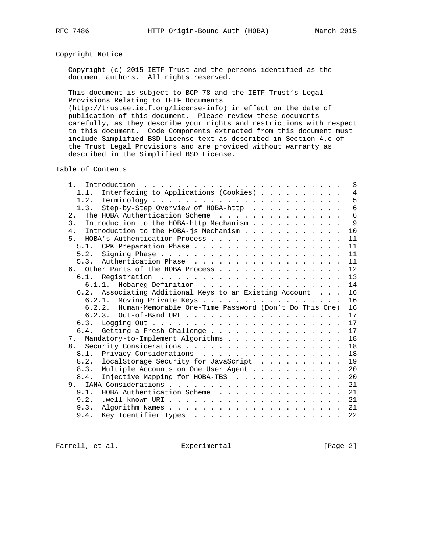# Copyright Notice

 Copyright (c) 2015 IETF Trust and the persons identified as the document authors. All rights reserved.

 This document is subject to BCP 78 and the IETF Trust's Legal Provisions Relating to IETF Documents

 (http://trustee.ietf.org/license-info) in effect on the date of publication of this document. Please review these documents carefully, as they describe your rights and restrictions with respect to this document. Code Components extracted from this document must include Simplified BSD License text as described in Section 4.e of the Trust Legal Provisions and are provided without warranty as described in the Simplified BSD License.

Table of Contents

| $\mathfrak{1}$ .<br>Introduction $\ldots \ldots \ldots \ldots \ldots \ldots \ldots \ldots$ | 3               |
|--------------------------------------------------------------------------------------------|-----------------|
| Interfacing to Applications (Cookies)<br>1.1.                                              | $\overline{4}$  |
|                                                                                            | 5               |
| Step-by-Step Overview of HOBA-http<br>1.3.                                                 | $6\overline{6}$ |
| The HOBA Authentication Scheme<br>2.                                                       | 6               |
| Introduction to the HOBA-http Mechanism<br>3.                                              | 9               |
| Introduction to the HOBA-js Mechanism<br>4 <sub>1</sub>                                    | 10              |
| 5. HOBA's Authentication Process                                                           | 11              |
| CPK Preparation Phase<br>5.1.                                                              | 11              |
| 5.2.                                                                                       | 11              |
|                                                                                            | 11              |
| 6. Other Parts of the HOBA Process                                                         | 12              |
|                                                                                            | 13              |
| Hobareg Definition<br>6.1.1.                                                               | 14              |
| 6.2. Associating Additional Keys to an Existing Account                                    | 16              |
| Moving Private Keys<br>6.2.1.                                                              | 16              |
| 6.2.2. Human-Memorable One-Time Password (Don't Do This One)                               | 16              |
|                                                                                            | 17              |
| 6.3.                                                                                       | 17              |
| 6.4. Getting a Fresh Challenge                                                             | 17              |
| Mandatory-to-Implement Algorithms<br>7.                                                    | 18              |
|                                                                                            | 18              |
| Privacy Considerations<br>8.1.                                                             | 18              |
| localStorage Security for JavaScript<br>8.2.                                               | 19              |
| Multiple Accounts on One User Agent<br>8.3.                                                | 20              |
| Injective Mapping for HOBA-TBS<br>8.4.                                                     | 20              |
|                                                                                            | 21              |
| HOBA Authentication Scheme<br>9.1.                                                         | 21              |
| 9.2.                                                                                       | 21              |
| 9.3.                                                                                       | 21              |
| Key Identifier Types<br>9.4.                                                               | 22              |
|                                                                                            |                 |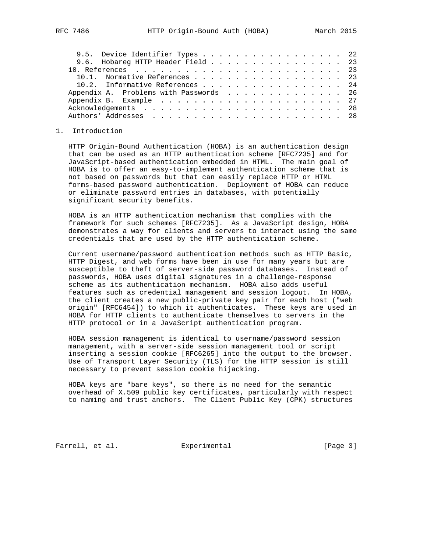| 9.5. Device Identifier Types 22        |  |  |  |  |  |  |  |  |  |  |  |  |
|----------------------------------------|--|--|--|--|--|--|--|--|--|--|--|--|
| 9.6. Hobareg HTTP Header Field 23      |  |  |  |  |  |  |  |  |  |  |  |  |
|                                        |  |  |  |  |  |  |  |  |  |  |  |  |
| 10.1. Normative References 23          |  |  |  |  |  |  |  |  |  |  |  |  |
| 10.2. Informative References 24        |  |  |  |  |  |  |  |  |  |  |  |  |
| Appendix A. Problems with Passwords 26 |  |  |  |  |  |  |  |  |  |  |  |  |
|                                        |  |  |  |  |  |  |  |  |  |  |  |  |
|                                        |  |  |  |  |  |  |  |  |  |  |  |  |
|                                        |  |  |  |  |  |  |  |  |  |  |  |  |
|                                        |  |  |  |  |  |  |  |  |  |  |  |  |

## 1. Introduction

 HTTP Origin-Bound Authentication (HOBA) is an authentication design that can be used as an HTTP authentication scheme [RFC7235] and for JavaScript-based authentication embedded in HTML. The main goal of HOBA is to offer an easy-to-implement authentication scheme that is not based on passwords but that can easily replace HTTP or HTML forms-based password authentication. Deployment of HOBA can reduce or eliminate password entries in databases, with potentially significant security benefits.

 HOBA is an HTTP authentication mechanism that complies with the framework for such schemes [RFC7235]. As a JavaScript design, HOBA demonstrates a way for clients and servers to interact using the same credentials that are used by the HTTP authentication scheme.

 Current username/password authentication methods such as HTTP Basic, HTTP Digest, and web forms have been in use for many years but are susceptible to theft of server-side password databases. Instead of passwords, HOBA uses digital signatures in a challenge-response scheme as its authentication mechanism. HOBA also adds useful features such as credential management and session logout. In HOBA, the client creates a new public-private key pair for each host ("web origin" [RFC6454]) to which it authenticates. These keys are used in HOBA for HTTP clients to authenticate themselves to servers in the HTTP protocol or in a JavaScript authentication program.

 HOBA session management is identical to username/password session management, with a server-side session management tool or script inserting a session cookie [RFC6265] into the output to the browser. Use of Transport Layer Security (TLS) for the HTTP session is still necessary to prevent session cookie hijacking.

 HOBA keys are "bare keys", so there is no need for the semantic overhead of X.509 public key certificates, particularly with respect to naming and trust anchors. The Client Public Key (CPK) structures

Farrell, et al. Experimental [Page 3]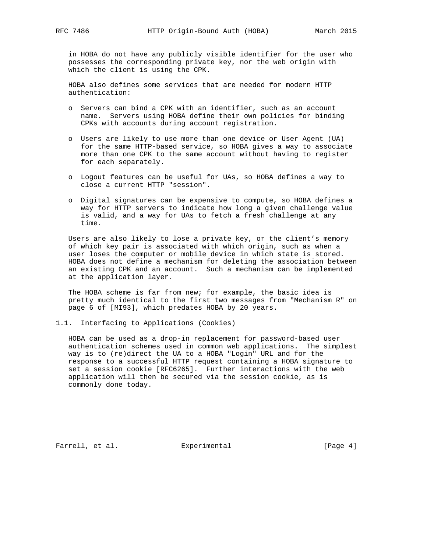in HOBA do not have any publicly visible identifier for the user who possesses the corresponding private key, nor the web origin with which the client is using the CPK.

 HOBA also defines some services that are needed for modern HTTP authentication:

- o Servers can bind a CPK with an identifier, such as an account name. Servers using HOBA define their own policies for binding CPKs with accounts during account registration.
- o Users are likely to use more than one device or User Agent (UA) for the same HTTP-based service, so HOBA gives a way to associate more than one CPK to the same account without having to register for each separately.
- o Logout features can be useful for UAs, so HOBA defines a way to close a current HTTP "session".
- o Digital signatures can be expensive to compute, so HOBA defines a way for HTTP servers to indicate how long a given challenge value is valid, and a way for UAs to fetch a fresh challenge at any time.

 Users are also likely to lose a private key, or the client's memory of which key pair is associated with which origin, such as when a user loses the computer or mobile device in which state is stored. HOBA does not define a mechanism for deleting the association between an existing CPK and an account. Such a mechanism can be implemented at the application layer.

 The HOBA scheme is far from new; for example, the basic idea is pretty much identical to the first two messages from "Mechanism R" on page 6 of [MI93], which predates HOBA by 20 years.

1.1. Interfacing to Applications (Cookies)

 HOBA can be used as a drop-in replacement for password-based user authentication schemes used in common web applications. The simplest way is to (re)direct the UA to a HOBA "Login" URL and for the response to a successful HTTP request containing a HOBA signature to set a session cookie [RFC6265]. Further interactions with the web application will then be secured via the session cookie, as is commonly done today.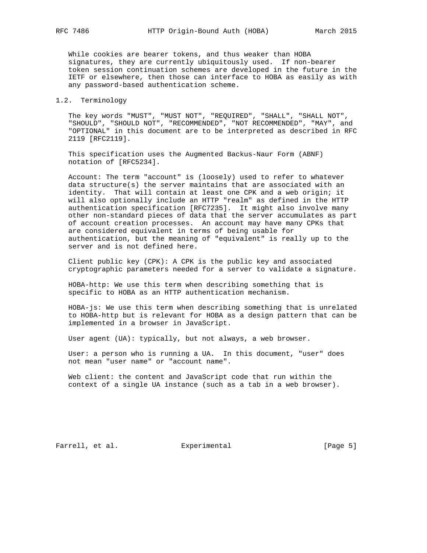While cookies are bearer tokens, and thus weaker than HOBA signatures, they are currently ubiquitously used. If non-bearer token session continuation schemes are developed in the future in the IETF or elsewhere, then those can interface to HOBA as easily as with any password-based authentication scheme.

## 1.2. Terminology

 The key words "MUST", "MUST NOT", "REQUIRED", "SHALL", "SHALL NOT", "SHOULD", "SHOULD NOT", "RECOMMENDED", "NOT RECOMMENDED", "MAY", and "OPTIONAL" in this document are to be interpreted as described in RFC 2119 [RFC2119].

 This specification uses the Augmented Backus-Naur Form (ABNF) notation of [RFC5234].

 Account: The term "account" is (loosely) used to refer to whatever data structure(s) the server maintains that are associated with an identity. That will contain at least one CPK and a web origin; it will also optionally include an HTTP "realm" as defined in the HTTP authentication specification [RFC7235]. It might also involve many other non-standard pieces of data that the server accumulates as part of account creation processes. An account may have many CPKs that are considered equivalent in terms of being usable for authentication, but the meaning of "equivalent" is really up to the server and is not defined here.

 Client public key (CPK): A CPK is the public key and associated cryptographic parameters needed for a server to validate a signature.

 HOBA-http: We use this term when describing something that is specific to HOBA as an HTTP authentication mechanism.

 HOBA-js: We use this term when describing something that is unrelated to HOBA-http but is relevant for HOBA as a design pattern that can be implemented in a browser in JavaScript.

User agent (UA): typically, but not always, a web browser.

 User: a person who is running a UA. In this document, "user" does not mean "user name" or "account name".

 Web client: the content and JavaScript code that run within the context of a single UA instance (such as a tab in a web browser).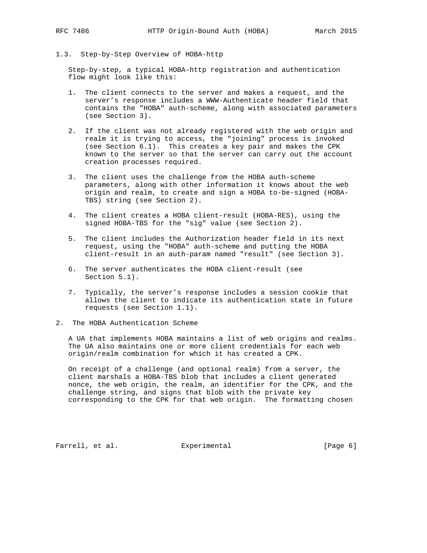1.3. Step-by-Step Overview of HOBA-http

 Step-by-step, a typical HOBA-http registration and authentication flow might look like this:

- 1. The client connects to the server and makes a request, and the server's response includes a WWW-Authenticate header field that contains the "HOBA" auth-scheme, along with associated parameters (see Section 3).
- 2. If the client was not already registered with the web origin and realm it is trying to access, the "joining" process is invoked (see Section 6.1). This creates a key pair and makes the CPK known to the server so that the server can carry out the account creation processes required.
- 3. The client uses the challenge from the HOBA auth-scheme parameters, along with other information it knows about the web origin and realm, to create and sign a HOBA to-be-signed (HOBA- TBS) string (see Section 2).
- 4. The client creates a HOBA client-result (HOBA-RES), using the signed HOBA-TBS for the "sig" value (see Section 2).
- 5. The client includes the Authorization header field in its next request, using the "HOBA" auth-scheme and putting the HOBA client-result in an auth-param named "result" (see Section 3).
- 6. The server authenticates the HOBA client-result (see Section 5.1).
- 7. Typically, the server's response includes a session cookie that allows the client to indicate its authentication state in future requests (see Section 1.1).
- 2. The HOBA Authentication Scheme

 A UA that implements HOBA maintains a list of web origins and realms. The UA also maintains one or more client credentials for each web origin/realm combination for which it has created a CPK.

 On receipt of a challenge (and optional realm) from a server, the client marshals a HOBA-TBS blob that includes a client generated nonce, the web origin, the realm, an identifier for the CPK, and the challenge string, and signs that blob with the private key corresponding to the CPK for that web origin. The formatting chosen

Farrell, et al. **Experimental** [Page 6]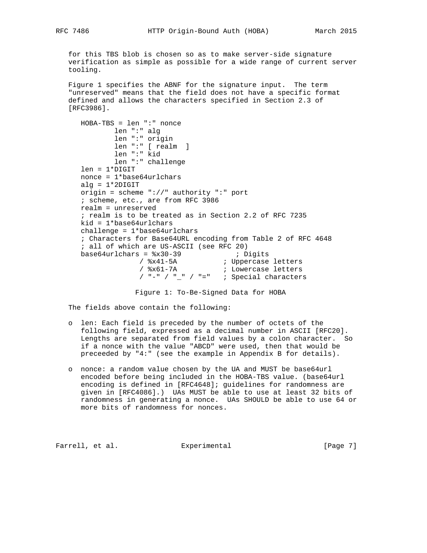for this TBS blob is chosen so as to make server-side signature verification as simple as possible for a wide range of current server tooling.

 Figure 1 specifies the ABNF for the signature input. The term "unreserved" means that the field does not have a specific format defined and allows the characters specified in Section 2.3 of [RFC3986].

 HOBA-TBS = len ":" nonce len ":" alg len ":" origin len ":" [ realm ] len ":" kid len ":" challenge len = 1\*DIGIT nonce = 1\*base64urlchars alg =  $1*2$ DIGIT origin = scheme "://" authority ":" port ; scheme, etc., are from RFC 3986 realm = unreserved ; realm is to be treated as in Section 2.2 of RFC 7235 kid = 1\*base64urlchars challenge = 1\*base64urlchars ; Characters for Base64URL encoding from Table 2 of RFC 4648 ; all of which are US-ASCII (see RFC 20) base64urlchars = %x30-39 ; Digits / %x41-5A ; Uppercase letters / %x61-7A ; Lowercase letters / "-" / "\_" / "=" ; Special characters

Figure 1: To-Be-Signed Data for HOBA

The fields above contain the following:

- o len: Each field is preceded by the number of octets of the following field, expressed as a decimal number in ASCII [RFC20]. Lengths are separated from field values by a colon character. So if a nonce with the value "ABCD" were used, then that would be preceeded by "4:" (see the example in Appendix B for details).
- o nonce: a random value chosen by the UA and MUST be base64url encoded before being included in the HOBA-TBS value. (base64url encoding is defined in [RFC4648]; guidelines for randomness are given in [RFC4086].) UAs MUST be able to use at least 32 bits of randomness in generating a nonce. UAs SHOULD be able to use 64 or more bits of randomness for nonces.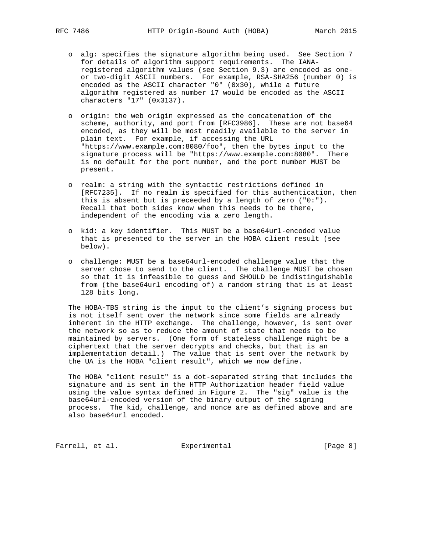- o alg: specifies the signature algorithm being used. See Section 7 for details of algorithm support requirements. The IANA registered algorithm values (see Section 9.3) are encoded as one or two-digit ASCII numbers. For example, RSA-SHA256 (number 0) is encoded as the ASCII character "0" (0x30), while a future algorithm registered as number 17 would be encoded as the ASCII characters "17" (0x3137).
- o origin: the web origin expressed as the concatenation of the scheme, authority, and port from [RFC3986]. These are not base64 encoded, as they will be most readily available to the server in plain text. For example, if accessing the URL "https://www.example.com:8080/foo", then the bytes input to the signature process will be "https://www.example.com:8080". There is no default for the port number, and the port number MUST be present.
- o realm: a string with the syntactic restrictions defined in [RFC7235]. If no realm is specified for this authentication, then this is absent but is preceeded by a length of zero ("0:"). Recall that both sides know when this needs to be there, independent of the encoding via a zero length.
- o kid: a key identifier. This MUST be a base64url-encoded value that is presented to the server in the HOBA client result (see below).
- o challenge: MUST be a base64url-encoded challenge value that the server chose to send to the client. The challenge MUST be chosen so that it is infeasible to guess and SHOULD be indistinguishable from (the base64url encoding of) a random string that is at least 128 bits long.

 The HOBA-TBS string is the input to the client's signing process but is not itself sent over the network since some fields are already inherent in the HTTP exchange. The challenge, however, is sent over the network so as to reduce the amount of state that needs to be maintained by servers. (One form of stateless challenge might be a ciphertext that the server decrypts and checks, but that is an implementation detail.) The value that is sent over the network by the UA is the HOBA "client result", which we now define.

 The HOBA "client result" is a dot-separated string that includes the signature and is sent in the HTTP Authorization header field value using the value syntax defined in Figure 2. The "sig" value is the base64url-encoded version of the binary output of the signing process. The kid, challenge, and nonce are as defined above and are also base64url encoded.

Farrell, et al. **Experimental** Experimental [Page 8]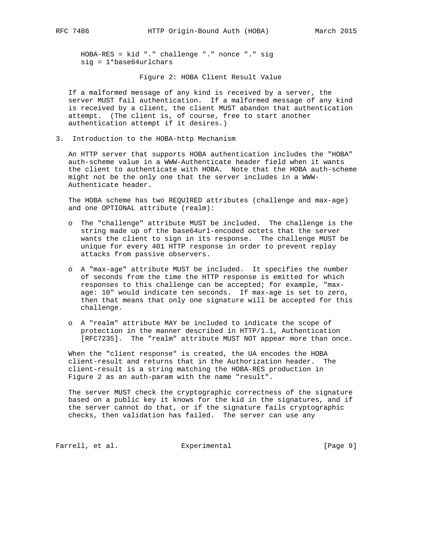HOBA-RES = kid "." challenge "." nonce "." sig sig = 1\*base64urlchars

Figure 2: HOBA Client Result Value

 If a malformed message of any kind is received by a server, the server MUST fail authentication. If a malformed message of any kind is received by a client, the client MUST abandon that authentication attempt. (The client is, of course, free to start another authentication attempt if it desires.)

3. Introduction to the HOBA-http Mechanism

 An HTTP server that supports HOBA authentication includes the "HOBA" auth-scheme value in a WWW-Authenticate header field when it wants the client to authenticate with HOBA. Note that the HOBA auth-scheme might not be the only one that the server includes in a WWW- Authenticate header.

 The HOBA scheme has two REQUIRED attributes (challenge and max-age) and one OPTIONAL attribute (realm):

- o The "challenge" attribute MUST be included. The challenge is the string made up of the base64url-encoded octets that the server wants the client to sign in its response. The challenge MUST be unique for every 401 HTTP response in order to prevent replay attacks from passive observers.
- o A "max-age" attribute MUST be included. It specifies the number of seconds from the time the HTTP response is emitted for which responses to this challenge can be accepted; for example, "max age: 10" would indicate ten seconds. If max-age is set to zero, then that means that only one signature will be accepted for this challenge.
- o A "realm" attribute MAY be included to indicate the scope of protection in the manner described in HTTP/1.1, Authentication [RFC7235]. The "realm" attribute MUST NOT appear more than once.

 When the "client response" is created, the UA encodes the HOBA client-result and returns that in the Authorization header. The client-result is a string matching the HOBA-RES production in Figure 2 as an auth-param with the name "result".

 The server MUST check the cryptographic correctness of the signature based on a public key it knows for the kid in the signatures, and if the server cannot do that, or if the signature fails cryptographic checks, then validation has failed. The server can use any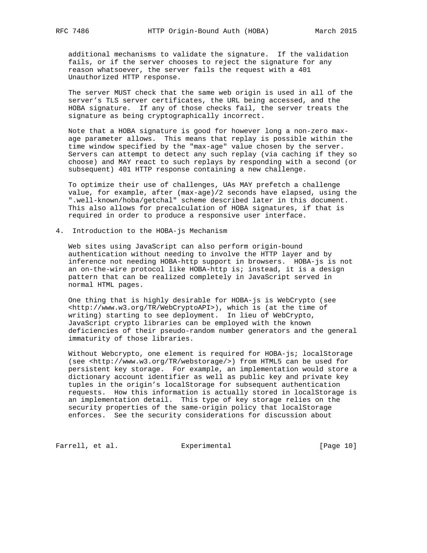additional mechanisms to validate the signature. If the validation fails, or if the server chooses to reject the signature for any reason whatsoever, the server fails the request with a 401 Unauthorized HTTP response.

 The server MUST check that the same web origin is used in all of the server's TLS server certificates, the URL being accessed, and the HOBA signature. If any of those checks fail, the server treats the signature as being cryptographically incorrect.

 Note that a HOBA signature is good for however long a non-zero max age parameter allows. This means that replay is possible within the time window specified by the "max-age" value chosen by the server. Servers can attempt to detect any such replay (via caching if they so choose) and MAY react to such replays by responding with a second (or subsequent) 401 HTTP response containing a new challenge.

 To optimize their use of challenges, UAs MAY prefetch a challenge value, for example, after (max-age)/2 seconds have elapsed, using the ".well-known/hoba/getchal" scheme described later in this document. This also allows for precalculation of HOBA signatures, if that is required in order to produce a responsive user interface.

4. Introduction to the HOBA-js Mechanism

 Web sites using JavaScript can also perform origin-bound authentication without needing to involve the HTTP layer and by inference not needing HOBA-http support in browsers. HOBA-js is not an on-the-wire protocol like HOBA-http is; instead, it is a design pattern that can be realized completely in JavaScript served in normal HTML pages.

 One thing that is highly desirable for HOBA-js is WebCrypto (see <http://www.w3.org/TR/WebCryptoAPI>), which is (at the time of writing) starting to see deployment. In lieu of WebCrypto, JavaScript crypto libraries can be employed with the known deficiencies of their pseudo-random number generators and the general immaturity of those libraries.

 Without Webcrypto, one element is required for HOBA-js; localStorage (see <http://www.w3.org/TR/webstorage/>) from HTML5 can be used for persistent key storage. For example, an implementation would store a dictionary account identifier as well as public key and private key tuples in the origin's localStorage for subsequent authentication requests. How this information is actually stored in localStorage is an implementation detail. This type of key storage relies on the security properties of the same-origin policy that localStorage enforces. See the security considerations for discussion about

Farrell, et al. Experimental [Page 10]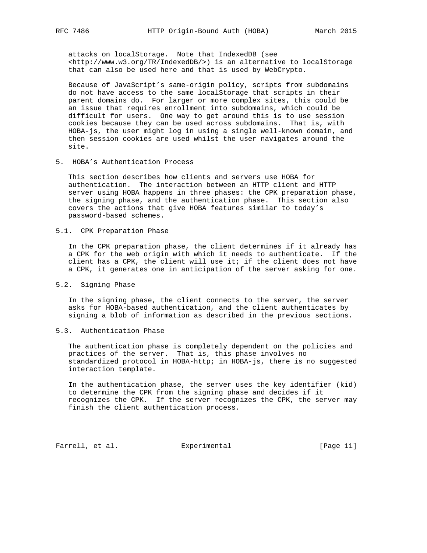attacks on localStorage. Note that IndexedDB (see <http://www.w3.org/TR/IndexedDB/>) is an alternative to localStorage that can also be used here and that is used by WebCrypto.

 Because of JavaScript's same-origin policy, scripts from subdomains do not have access to the same localStorage that scripts in their parent domains do. For larger or more complex sites, this could be an issue that requires enrollment into subdomains, which could be difficult for users. One way to get around this is to use session cookies because they can be used across subdomains. That is, with HOBA-js, the user might log in using a single well-known domain, and then session cookies are used whilst the user navigates around the site.

5. HOBA's Authentication Process

 This section describes how clients and servers use HOBA for authentication. The interaction between an HTTP client and HTTP server using HOBA happens in three phases: the CPK preparation phase, the signing phase, and the authentication phase. This section also covers the actions that give HOBA features similar to today's password-based schemes.

5.1. CPK Preparation Phase

 In the CPK preparation phase, the client determines if it already has a CPK for the web origin with which it needs to authenticate. If the client has a CPK, the client will use it; if the client does not have a CPK, it generates one in anticipation of the server asking for one.

5.2. Signing Phase

 In the signing phase, the client connects to the server, the server asks for HOBA-based authentication, and the client authenticates by signing a blob of information as described in the previous sections.

5.3. Authentication Phase

 The authentication phase is completely dependent on the policies and practices of the server. That is, this phase involves no standardized protocol in HOBA-http; in HOBA-js, there is no suggested interaction template.

 In the authentication phase, the server uses the key identifier (kid) to determine the CPK from the signing phase and decides if it recognizes the CPK. If the server recognizes the CPK, the server may finish the client authentication process.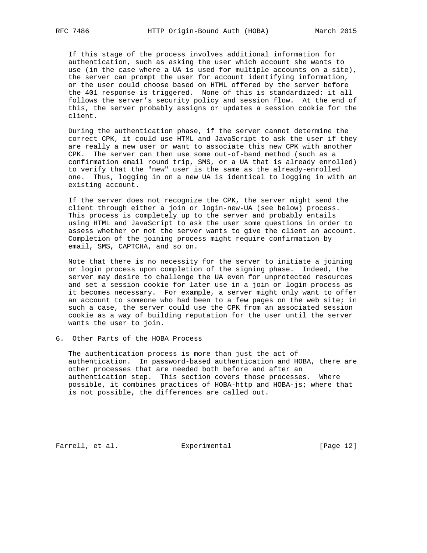If this stage of the process involves additional information for authentication, such as asking the user which account she wants to use (in the case where a UA is used for multiple accounts on a site), the server can prompt the user for account identifying information, or the user could choose based on HTML offered by the server before the 401 response is triggered. None of this is standardized: it all follows the server's security policy and session flow. At the end of this, the server probably assigns or updates a session cookie for the client.

 During the authentication phase, if the server cannot determine the correct CPK, it could use HTML and JavaScript to ask the user if they are really a new user or want to associate this new CPK with another CPK. The server can then use some out-of-band method (such as a confirmation email round trip, SMS, or a UA that is already enrolled) to verify that the "new" user is the same as the already-enrolled one. Thus, logging in on a new UA is identical to logging in with an existing account.

 If the server does not recognize the CPK, the server might send the client through either a join or login-new-UA (see below) process. This process is completely up to the server and probably entails using HTML and JavaScript to ask the user some questions in order to assess whether or not the server wants to give the client an account. Completion of the joining process might require confirmation by email, SMS, CAPTCHA, and so on.

 Note that there is no necessity for the server to initiate a joining or login process upon completion of the signing phase. Indeed, the server may desire to challenge the UA even for unprotected resources and set a session cookie for later use in a join or login process as it becomes necessary. For example, a server might only want to offer an account to someone who had been to a few pages on the web site; in such a case, the server could use the CPK from an associated session cookie as a way of building reputation for the user until the server wants the user to join.

6. Other Parts of the HOBA Process

 The authentication process is more than just the act of authentication. In password-based authentication and HOBA, there are other processes that are needed both before and after an authentication step. This section covers those processes. Where possible, it combines practices of HOBA-http and HOBA-js; where that is not possible, the differences are called out.

Farrell, et al. Experimental [Page 12]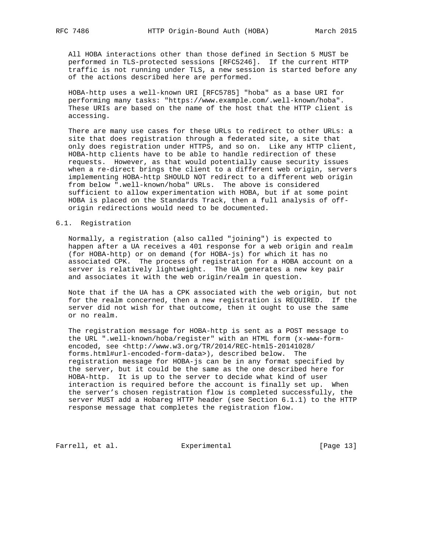All HOBA interactions other than those defined in Section 5 MUST be performed in TLS-protected sessions [RFC5246]. If the current HTTP traffic is not running under TLS, a new session is started before any of the actions described here are performed.

 HOBA-http uses a well-known URI [RFC5785] "hoba" as a base URI for performing many tasks: "https://www.example.com/.well-known/hoba". These URIs are based on the name of the host that the HTTP client is accessing.

 There are many use cases for these URLs to redirect to other URLs: a site that does registration through a federated site, a site that only does registration under HTTPS, and so on. Like any HTTP client, HOBA-http clients have to be able to handle redirection of these requests. However, as that would potentially cause security issues when a re-direct brings the client to a different web origin, servers implementing HOBA-http SHOULD NOT redirect to a different web origin from below ".well-known/hoba" URLs. The above is considered sufficient to allow experimentation with HOBA, but if at some point HOBA is placed on the Standards Track, then a full analysis of off origin redirections would need to be documented.

#### 6.1. Registration

 Normally, a registration (also called "joining") is expected to happen after a UA receives a 401 response for a web origin and realm (for HOBA-http) or on demand (for HOBA-js) for which it has no associated CPK. The process of registration for a HOBA account on a server is relatively lightweight. The UA generates a new key pair and associates it with the web origin/realm in question.

 Note that if the UA has a CPK associated with the web origin, but not for the realm concerned, then a new registration is REQUIRED. If the server did not wish for that outcome, then it ought to use the same or no realm.

 The registration message for HOBA-http is sent as a POST message to the URL ".well-known/hoba/register" with an HTML form (x-www-form encoded, see <http://www.w3.org/TR/2014/REC-html5-20141028/<br>forms.html#url-encoded-form-data>), described below. The forms.html#url-encoded-form-data>), described below. registration message for HOBA-js can be in any format specified by the server, but it could be the same as the one described here for HOBA-http. It is up to the server to decide what kind of user interaction is required before the account is finally set up. When the server's chosen registration flow is completed successfully, the server MUST add a Hobareg HTTP header (see Section 6.1.1) to the HTTP response message that completes the registration flow.

Farrell, et al. Experimental [Page 13]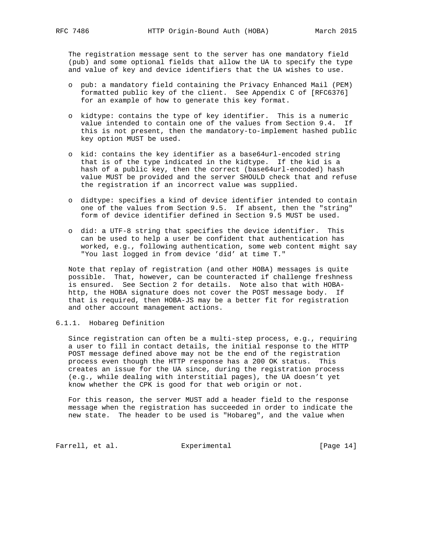The registration message sent to the server has one mandatory field (pub) and some optional fields that allow the UA to specify the type and value of key and device identifiers that the UA wishes to use.

- o pub: a mandatory field containing the Privacy Enhanced Mail (PEM) formatted public key of the client. See Appendix C of [RFC6376] for an example of how to generate this key format.
- o kidtype: contains the type of key identifier. This is a numeric value intended to contain one of the values from Section 9.4. If this is not present, then the mandatory-to-implement hashed public key option MUST be used.
- o kid: contains the key identifier as a base64url-encoded string that is of the type indicated in the kidtype. If the kid is a hash of a public key, then the correct (base64url-encoded) hash value MUST be provided and the server SHOULD check that and refuse the registration if an incorrect value was supplied.
- o didtype: specifies a kind of device identifier intended to contain one of the values from Section 9.5. If absent, then the "string" form of device identifier defined in Section 9.5 MUST be used.
- o did: a UTF-8 string that specifies the device identifier. This can be used to help a user be confident that authentication has worked, e.g., following authentication, some web content might say "You last logged in from device 'did' at time T."

 Note that replay of registration (and other HOBA) messages is quite possible. That, however, can be counteracted if challenge freshness is ensured. See Section 2 for details. Note also that with HOBA http, the HOBA signature does not cover the POST message body. If that is required, then HOBA-JS may be a better fit for registration and other account management actions.

## 6.1.1. Hobareg Definition

 Since registration can often be a multi-step process, e.g., requiring a user to fill in contact details, the initial response to the HTTP POST message defined above may not be the end of the registration process even though the HTTP response has a 200 OK status. This creates an issue for the UA since, during the registration process (e.g., while dealing with interstitial pages), the UA doesn't yet know whether the CPK is good for that web origin or not.

 For this reason, the server MUST add a header field to the response message when the registration has succeeded in order to indicate the new state. The header to be used is "Hobareg", and the value when

Farrell, et al. **Experimental** [Page 14]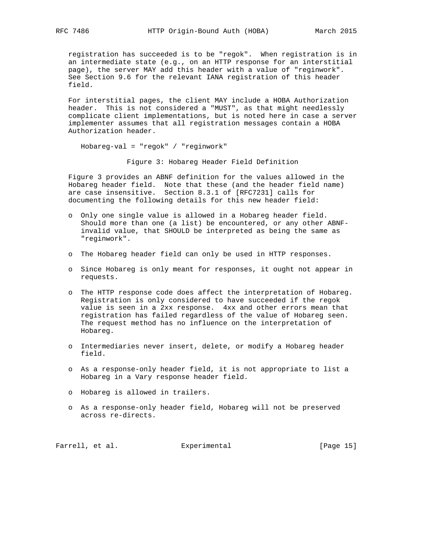registration has succeeded is to be "regok". When registration is in an intermediate state (e.g., on an HTTP response for an interstitial page), the server MAY add this header with a value of "reginwork". See Section 9.6 for the relevant IANA registration of this header field.

 For interstitial pages, the client MAY include a HOBA Authorization header. This is not considered a "MUST", as that might needlessly complicate client implementations, but is noted here in case a server implementer assumes that all registration messages contain a HOBA Authorization header.

Hobareg-val = "regok" / "reginwork"

Figure 3: Hobareg Header Field Definition

 Figure 3 provides an ABNF definition for the values allowed in the Hobareg header field. Note that these (and the header field name) are case insensitive. Section 8.3.1 of [RFC7231] calls for documenting the following details for this new header field:

- o Only one single value is allowed in a Hobareg header field. Should more than one (a list) be encountered, or any other ABNF invalid value, that SHOULD be interpreted as being the same as "reginwork".
- o The Hobareg header field can only be used in HTTP responses.
- o Since Hobareg is only meant for responses, it ought not appear in requests.
- o The HTTP response code does affect the interpretation of Hobareg. Registration is only considered to have succeeded if the regok value is seen in a 2xx response. 4xx and other errors mean that registration has failed regardless of the value of Hobareg seen. The request method has no influence on the interpretation of Hobareg.
- o Intermediaries never insert, delete, or modify a Hobareg header field.
- o As a response-only header field, it is not appropriate to list a Hobareg in a Vary response header field.
- o Hobareg is allowed in trailers.
- o As a response-only header field, Hobareg will not be preserved across re-directs.

Farrell, et al. **Experimental** [Page 15]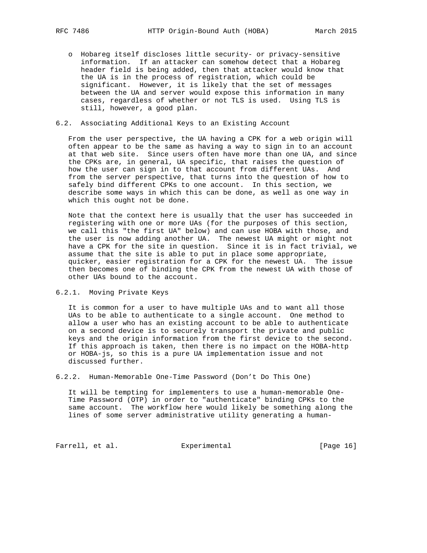o Hobareg itself discloses little security- or privacy-sensitive information. If an attacker can somehow detect that a Hobareg header field is being added, then that attacker would know that the UA is in the process of registration, which could be significant. However, it is likely that the set of messages between the UA and server would expose this information in many cases, regardless of whether or not TLS is used. Using TLS is still, however, a good plan.

## 6.2. Associating Additional Keys to an Existing Account

 From the user perspective, the UA having a CPK for a web origin will often appear to be the same as having a way to sign in to an account at that web site. Since users often have more than one UA, and since the CPKs are, in general, UA specific, that raises the question of how the user can sign in to that account from different UAs. And from the server perspective, that turns into the question of how to safely bind different CPKs to one account. In this section, we describe some ways in which this can be done, as well as one way in which this ought not be done.

 Note that the context here is usually that the user has succeeded in registering with one or more UAs (for the purposes of this section, we call this "the first UA" below) and can use HOBA with those, and the user is now adding another UA. The newest UA might or might not have a CPK for the site in question. Since it is in fact trivial, we assume that the site is able to put in place some appropriate, quicker, easier registration for a CPK for the newest UA. The issue then becomes one of binding the CPK from the newest UA with those of other UAs bound to the account.

6.2.1. Moving Private Keys

 It is common for a user to have multiple UAs and to want all those UAs to be able to authenticate to a single account. One method to allow a user who has an existing account to be able to authenticate on a second device is to securely transport the private and public keys and the origin information from the first device to the second. If this approach is taken, then there is no impact on the HOBA-http or HOBA-js, so this is a pure UA implementation issue and not discussed further.

6.2.2. Human-Memorable One-Time Password (Don't Do This One)

 It will be tempting for implementers to use a human-memorable One- Time Password (OTP) in order to "authenticate" binding CPKs to the same account. The workflow here would likely be something along the lines of some server administrative utility generating a human-

Farrell, et al. Experimental [Page 16]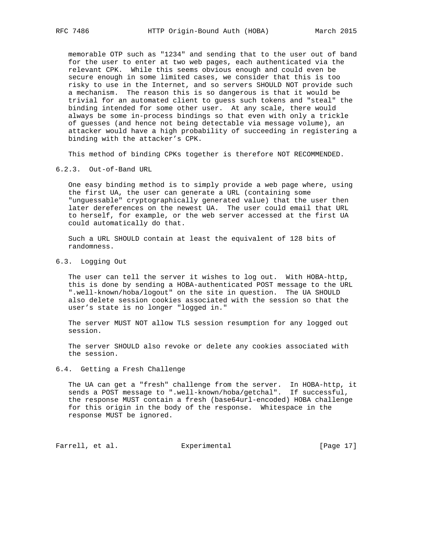memorable OTP such as "1234" and sending that to the user out of band for the user to enter at two web pages, each authenticated via the relevant CPK. While this seems obvious enough and could even be secure enough in some limited cases, we consider that this is too risky to use in the Internet, and so servers SHOULD NOT provide such a mechanism. The reason this is so dangerous is that it would be trivial for an automated client to guess such tokens and "steal" the binding intended for some other user. At any scale, there would always be some in-process bindings so that even with only a trickle of guesses (and hence not being detectable via message volume), an attacker would have a high probability of succeeding in registering a binding with the attacker's CPK.

This method of binding CPKs together is therefore NOT RECOMMENDED.

#### 6.2.3. Out-of-Band URL

 One easy binding method is to simply provide a web page where, using the first UA, the user can generate a URL (containing some "unguessable" cryptographically generated value) that the user then later dereferences on the newest UA. The user could email that URL to herself, for example, or the web server accessed at the first UA could automatically do that.

 Such a URL SHOULD contain at least the equivalent of 128 bits of randomness.

# 6.3. Logging Out

 The user can tell the server it wishes to log out. With HOBA-http, this is done by sending a HOBA-authenticated POST message to the URL ".well-known/hoba/logout" on the site in question. The UA SHOULD also delete session cookies associated with the session so that the user's state is no longer "logged in."

 The server MUST NOT allow TLS session resumption for any logged out session.

 The server SHOULD also revoke or delete any cookies associated with the session.

## 6.4. Getting a Fresh Challenge

 The UA can get a "fresh" challenge from the server. In HOBA-http, it sends a POST message to ".well-known/hoba/getchal". If successful, the response MUST contain a fresh (base64url-encoded) HOBA challenge for this origin in the body of the response. Whitespace in the response MUST be ignored.

Farrell, et al. Experimental [Page 17]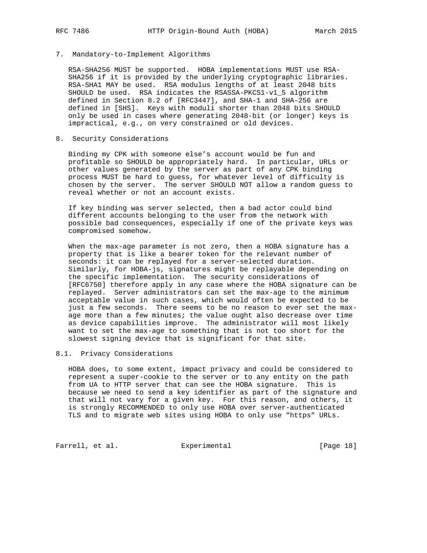## 7. Mandatory-to-Implement Algorithms

 RSA-SHA256 MUST be supported. HOBA implementations MUST use RSA- SHA256 if it is provided by the underlying cryptographic libraries. RSA-SHA1 MAY be used. RSA modulus lengths of at least 2048 bits SHOULD be used. RSA indicates the RSASSA-PKCS1-v1\_5 algorithm defined in Section 8.2 of [RFC3447], and SHA-1 and SHA-256 are defined in [SHS]. Keys with moduli shorter than 2048 bits SHOULD only be used in cases where generating 2048-bit (or longer) keys is impractical, e.g., on very constrained or old devices.

# 8. Security Considerations

 Binding my CPK with someone else's account would be fun and profitable so SHOULD be appropriately hard. In particular, URLs or other values generated by the server as part of any CPK binding process MUST be hard to guess, for whatever level of difficulty is chosen by the server. The server SHOULD NOT allow a random guess to reveal whether or not an account exists.

 If key binding was server selected, then a bad actor could bind different accounts belonging to the user from the network with possible bad consequences, especially if one of the private keys was compromised somehow.

 When the max-age parameter is not zero, then a HOBA signature has a property that is like a bearer token for the relevant number of seconds: it can be replayed for a server-selected duration. Similarly, for HOBA-js, signatures might be replayable depending on the specific implementation. The security considerations of [RFC6750] therefore apply in any case where the HOBA signature can be replayed. Server administrators can set the max-age to the minimum acceptable value in such cases, which would often be expected to be just a few seconds. There seems to be no reason to ever set the max age more than a few minutes; the value ought also decrease over time as device capabilities improve. The administrator will most likely want to set the max-age to something that is not too short for the slowest signing device that is significant for that site.

## 8.1. Privacy Considerations

 HOBA does, to some extent, impact privacy and could be considered to represent a super-cookie to the server or to any entity on the path from UA to HTTP server that can see the HOBA signature. This is because we need to send a key identifier as part of the signature and that will not vary for a given key. For this reason, and others, it is strongly RECOMMENDED to only use HOBA over server-authenticated TLS and to migrate web sites using HOBA to only use "https" URLs.

Farrell, et al. Experimental [Page 18]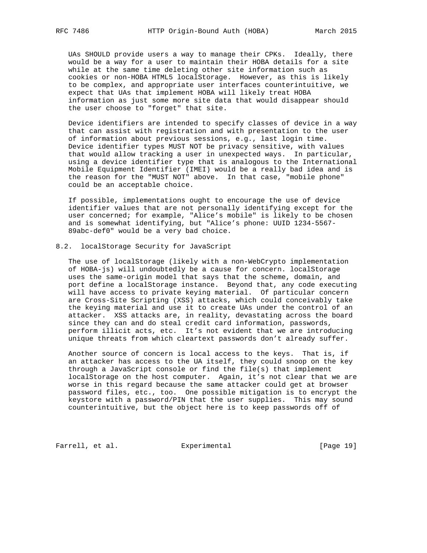UAs SHOULD provide users a way to manage their CPKs. Ideally, there would be a way for a user to maintain their HOBA details for a site while at the same time deleting other site information such as cookies or non-HOBA HTML5 localStorage. However, as this is likely to be complex, and appropriate user interfaces counterintuitive, we expect that UAs that implement HOBA will likely treat HOBA information as just some more site data that would disappear should the user choose to "forget" that site.

 Device identifiers are intended to specify classes of device in a way that can assist with registration and with presentation to the user of information about previous sessions, e.g., last login time. Device identifier types MUST NOT be privacy sensitive, with values that would allow tracking a user in unexpected ways. In particular, using a device identifier type that is analogous to the International Mobile Equipment Identifier (IMEI) would be a really bad idea and is the reason for the "MUST NOT" above. In that case, "mobile phone" could be an acceptable choice.

 If possible, implementations ought to encourage the use of device identifier values that are not personally identifying except for the user concerned; for example, "Alice's mobile" is likely to be chosen and is somewhat identifying, but "Alice's phone: UUID 1234-5567- 89abc-def0" would be a very bad choice.

## 8.2. localStorage Security for JavaScript

 The use of localStorage (likely with a non-WebCrypto implementation of HOBA-js) will undoubtedly be a cause for concern. localStorage uses the same-origin model that says that the scheme, domain, and port define a localStorage instance. Beyond that, any code executing will have access to private keying material. Of particular concern are Cross-Site Scripting (XSS) attacks, which could conceivably take the keying material and use it to create UAs under the control of an attacker. XSS attacks are, in reality, devastating across the board since they can and do steal credit card information, passwords, perform illicit acts, etc. It's not evident that we are introducing unique threats from which cleartext passwords don't already suffer.

 Another source of concern is local access to the keys. That is, if an attacker has access to the UA itself, they could snoop on the key through a JavaScript console or find the file(s) that implement localStorage on the host computer. Again, it's not clear that we are worse in this regard because the same attacker could get at browser password files, etc., too. One possible mitigation is to encrypt the keystore with a password/PIN that the user supplies. This may sound counterintuitive, but the object here is to keep passwords off of

Farrell, et al. Experimental [Page 19]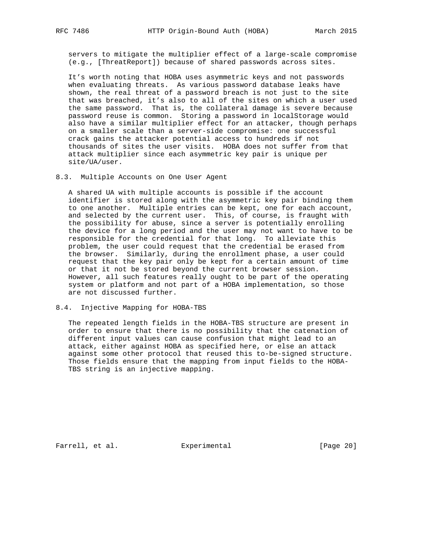servers to mitigate the multiplier effect of a large-scale compromise (e.g., [ThreatReport]) because of shared passwords across sites.

 It's worth noting that HOBA uses asymmetric keys and not passwords when evaluating threats. As various password database leaks have shown, the real threat of a password breach is not just to the site that was breached, it's also to all of the sites on which a user used the same password. That is, the collateral damage is severe because password reuse is common. Storing a password in localStorage would also have a similar multiplier effect for an attacker, though perhaps on a smaller scale than a server-side compromise: one successful crack gains the attacker potential access to hundreds if not thousands of sites the user visits. HOBA does not suffer from that attack multiplier since each asymmetric key pair is unique per site/UA/user.

8.3. Multiple Accounts on One User Agent

 A shared UA with multiple accounts is possible if the account identifier is stored along with the asymmetric key pair binding them to one another. Multiple entries can be kept, one for each account, and selected by the current user. This, of course, is fraught with the possibility for abuse, since a server is potentially enrolling the device for a long period and the user may not want to have to be responsible for the credential for that long. To alleviate this problem, the user could request that the credential be erased from the browser. Similarly, during the enrollment phase, a user could request that the key pair only be kept for a certain amount of time or that it not be stored beyond the current browser session. However, all such features really ought to be part of the operating system or platform and not part of a HOBA implementation, so those are not discussed further.

8.4. Injective Mapping for HOBA-TBS

 The repeated length fields in the HOBA-TBS structure are present in order to ensure that there is no possibility that the catenation of different input values can cause confusion that might lead to an attack, either against HOBA as specified here, or else an attack against some other protocol that reused this to-be-signed structure. Those fields ensure that the mapping from input fields to the HOBA- TBS string is an injective mapping.

Farrell, et al. Experimental [Page 20]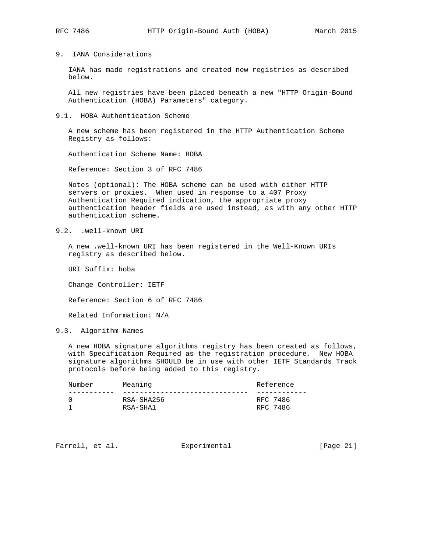## 9. IANA Considerations

 IANA has made registrations and created new registries as described below.

 All new registries have been placed beneath a new "HTTP Origin-Bound Authentication (HOBA) Parameters" category.

9.1. HOBA Authentication Scheme

 A new scheme has been registered in the HTTP Authentication Scheme Registry as follows:

Authentication Scheme Name: HOBA

Reference: Section 3 of RFC 7486

 Notes (optional): The HOBA scheme can be used with either HTTP servers or proxies. When used in response to a 407 Proxy Authentication Required indication, the appropriate proxy authentication header fields are used instead, as with any other HTTP authentication scheme.

9.2. .well-known URI

 A new .well-known URI has been registered in the Well-Known URIs registry as described below.

URI Suffix: hoba

Change Controller: IETF

Reference: Section 6 of RFC 7486

Related Information: N/A

9.3. Algorithm Names

 A new HOBA signature algorithms registry has been created as follows, with Specification Required as the registration procedure. New HOBA signature algorithms SHOULD be in use with other IETF Standards Track protocols before being added to this registry.

| Number | Meaning    | Reference |  |  |  |  |  |
|--------|------------|-----------|--|--|--|--|--|
|        |            |           |  |  |  |  |  |
|        | RSA-SHA256 | RFC 7486  |  |  |  |  |  |
|        | RSA-SHA1   | RFC 7486  |  |  |  |  |  |
|        |            |           |  |  |  |  |  |

Farrell, et al. Experimental [Page 21]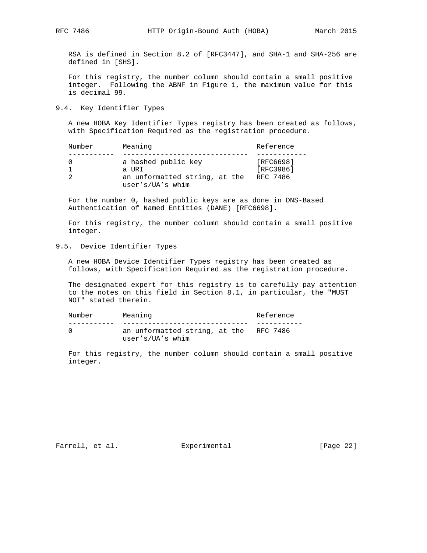RSA is defined in Section 8.2 of [RFC3447], and SHA-1 and SHA-256 are defined in [SHS].

 For this registry, the number column should contain a small positive integer. Following the ABNF in Figure 1, the maximum value for this is decimal 99.

9.4. Key Identifier Types

 A new HOBA Key Identifier Types registry has been created as follows, with Specification Required as the registration procedure.

| Number | Meaning                       | Reference |  |  |  |  |
|--------|-------------------------------|-----------|--|--|--|--|
|        | a hashed public key           | [RFC6698] |  |  |  |  |
|        | a URI                         | [RFC3986] |  |  |  |  |
|        | an unformatted string, at the | RFC 7486  |  |  |  |  |
|        | user's/UA's whim              |           |  |  |  |  |

 For the number 0, hashed public keys are as done in DNS-Based Authentication of Named Entities (DANE) [RFC6698].

 For this registry, the number column should contain a small positive integer.

9.5. Device Identifier Types

 A new HOBA Device Identifier Types registry has been created as follows, with Specification Required as the registration procedure.

 The designated expert for this registry is to carefully pay attention to the notes on this field in Section 8.1, in particular, the "MUST NOT" stated therein.

| Number | Meaning                                                    | Reference |
|--------|------------------------------------------------------------|-----------|
|        |                                                            |           |
|        | an unformatted string, at the RFC 7486<br>user's/UA's whim |           |

 For this registry, the number column should contain a small positive integer.

Farrell, et al. Experimental [Page 22]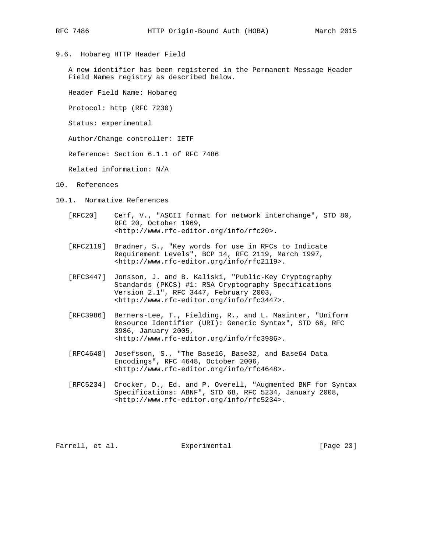9.6. Hobareg HTTP Header Field

 A new identifier has been registered in the Permanent Message Header Field Names registry as described below.

Header Field Name: Hobareg

Protocol: http (RFC 7230)

Status: experimental

Author/Change controller: IETF

Reference: Section 6.1.1 of RFC 7486

Related information: N/A

- 10. References
- 10.1. Normative References
	- [RFC20] Cerf, V., "ASCII format for network interchange", STD 80, RFC 20, October 1969, <http://www.rfc-editor.org/info/rfc20>.
	- [RFC2119] Bradner, S., "Key words for use in RFCs to Indicate Requirement Levels", BCP 14, RFC 2119, March 1997, <http://www.rfc-editor.org/info/rfc2119>.
	- [RFC3447] Jonsson, J. and B. Kaliski, "Public-Key Cryptography Standards (PKCS) #1: RSA Cryptography Specifications Version 2.1", RFC 3447, February 2003, <http://www.rfc-editor.org/info/rfc3447>.
	- [RFC3986] Berners-Lee, T., Fielding, R., and L. Masinter, "Uniform Resource Identifier (URI): Generic Syntax", STD 66, RFC 3986, January 2005, <http://www.rfc-editor.org/info/rfc3986>.
	- [RFC4648] Josefsson, S., "The Base16, Base32, and Base64 Data Encodings", RFC 4648, October 2006, <http://www.rfc-editor.org/info/rfc4648>.
	- [RFC5234] Crocker, D., Ed. and P. Overell, "Augmented BNF for Syntax Specifications: ABNF", STD 68, RFC 5234, January 2008, <http://www.rfc-editor.org/info/rfc5234>.

Farrell, et al. **Experimental** [Page 23]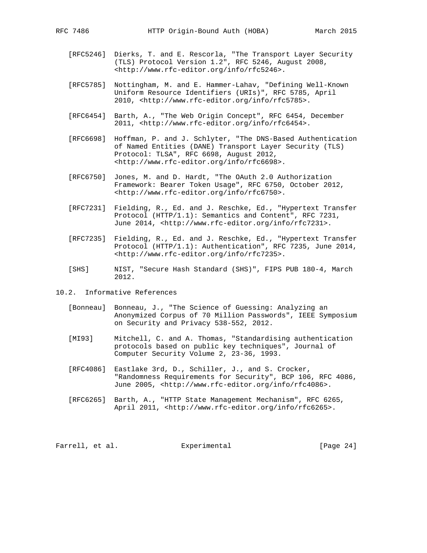- [RFC5246] Dierks, T. and E. Rescorla, "The Transport Layer Security (TLS) Protocol Version 1.2", RFC 5246, August 2008, <http://www.rfc-editor.org/info/rfc5246>.
	- [RFC5785] Nottingham, M. and E. Hammer-Lahav, "Defining Well-Known Uniform Resource Identifiers (URIs)", RFC 5785, April 2010, <http://www.rfc-editor.org/info/rfc5785>.
	- [RFC6454] Barth, A., "The Web Origin Concept", RFC 6454, December 2011, <http://www.rfc-editor.org/info/rfc6454>.
	- [RFC6698] Hoffman, P. and J. Schlyter, "The DNS-Based Authentication of Named Entities (DANE) Transport Layer Security (TLS) Protocol: TLSA", RFC 6698, August 2012, <http://www.rfc-editor.org/info/rfc6698>.
	- [RFC6750] Jones, M. and D. Hardt, "The OAuth 2.0 Authorization Framework: Bearer Token Usage", RFC 6750, October 2012, <http://www.rfc-editor.org/info/rfc6750>.
	- [RFC7231] Fielding, R., Ed. and J. Reschke, Ed., "Hypertext Transfer Protocol (HTTP/1.1): Semantics and Content", RFC 7231, June 2014, <http://www.rfc-editor.org/info/rfc7231>.
	- [RFC7235] Fielding, R., Ed. and J. Reschke, Ed., "Hypertext Transfer Protocol (HTTP/1.1): Authentication", RFC 7235, June 2014, <http://www.rfc-editor.org/info/rfc7235>.
	- [SHS] NIST, "Secure Hash Standard (SHS)", FIPS PUB 180-4, March 2012.
- 10.2. Informative References
	- [Bonneau] Bonneau, J., "The Science of Guessing: Analyzing an Anonymized Corpus of 70 Million Passwords", IEEE Symposium on Security and Privacy 538-552, 2012.
	- [MI93] Mitchell, C. and A. Thomas, "Standardising authentication protocols based on public key techniques", Journal of Computer Security Volume 2, 23-36, 1993.
	- [RFC4086] Eastlake 3rd, D., Schiller, J., and S. Crocker, "Randomness Requirements for Security", BCP 106, RFC 4086, June 2005, <http://www.rfc-editor.org/info/rfc4086>.
	- [RFC6265] Barth, A., "HTTP State Management Mechanism", RFC 6265, April 2011, <http://www.rfc-editor.org/info/rfc6265>.

Farrell, et al. Experimental [Page 24]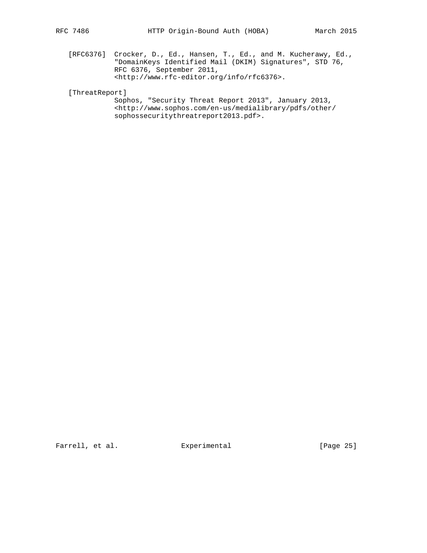[RFC6376] Crocker, D., Ed., Hansen, T., Ed., and M. Kucherawy, Ed., "DomainKeys Identified Mail (DKIM) Signatures", STD 76, RFC 6376, September 2011, <http://www.rfc-editor.org/info/rfc6376>.

[ThreatReport]

 Sophos, "Security Threat Report 2013", January 2013, <http://www.sophos.com/en-us/medialibrary/pdfs/other/ sophossecuritythreatreport2013.pdf>.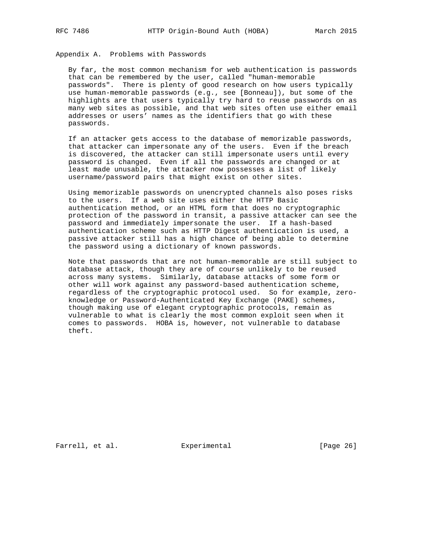Appendix A. Problems with Passwords

 By far, the most common mechanism for web authentication is passwords that can be remembered by the user, called "human-memorable passwords". There is plenty of good research on how users typically use human-memorable passwords (e.g., see [Bonneau]), but some of the highlights are that users typically try hard to reuse passwords on as many web sites as possible, and that web sites often use either email addresses or users' names as the identifiers that go with these passwords.

 If an attacker gets access to the database of memorizable passwords, that attacker can impersonate any of the users. Even if the breach is discovered, the attacker can still impersonate users until every password is changed. Even if all the passwords are changed or at least made unusable, the attacker now possesses a list of likely username/password pairs that might exist on other sites.

 Using memorizable passwords on unencrypted channels also poses risks to the users. If a web site uses either the HTTP Basic authentication method, or an HTML form that does no cryptographic protection of the password in transit, a passive attacker can see the password and immediately impersonate the user. If a hash-based authentication scheme such as HTTP Digest authentication is used, a passive attacker still has a high chance of being able to determine the password using a dictionary of known passwords.

 Note that passwords that are not human-memorable are still subject to database attack, though they are of course unlikely to be reused across many systems. Similarly, database attacks of some form or other will work against any password-based authentication scheme, regardless of the cryptographic protocol used. So for example, zero knowledge or Password-Authenticated Key Exchange (PAKE) schemes, though making use of elegant cryptographic protocols, remain as vulnerable to what is clearly the most common exploit seen when it comes to passwords. HOBA is, however, not vulnerable to database theft.

Farrell, et al. Experimental [Page 26]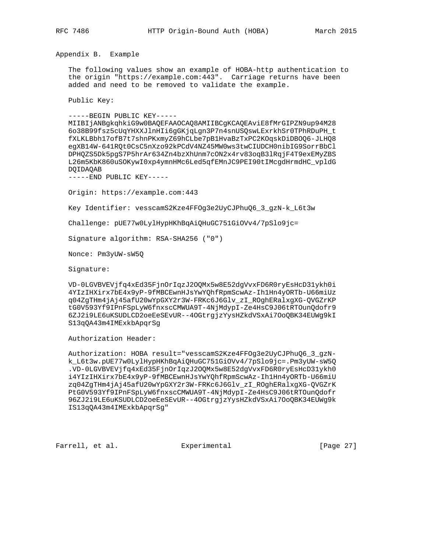Appendix B. Example

 The following values show an example of HOBA-http authentication to the origin "https://example.com:443". Carriage returns have been added and need to be removed to validate the example.

Public Key:

-----BEGIN PUBLIC KEY-----

 MIIBIjANBgkqhkiG9w0BAQEFAAOCAQ8AMIIBCgKCAQEAviE8fMrGIPZN9up94M28 6o38B99fsz5cUqYHXXJlnHIi6gGKjqLgn3P7n4snUSQswLExrkhSr0TPhRDuPH\_t fXLKLBbh17ofB7t7shnPKxmyZ69hCLbe7pB1HvaBzTxPC2KOqskDiDBOQ6-JLHQ8 egXB14W-641RQt0CsC5nXzo92kPCdV4NZ45MW0ws3twCIUDCH0nibIG9SorrBbCl DPHQZS5Dk5pgS7P5hrAr634Zn4bzXhUnm7cON2x4rv83oqB3lRqjF4T9exEMyZBS L26m5KbK860uSOKywI0xp4ymnHMc6Led5qfEMnJC9PEI90tIMcgdHrmdHC\_vpldG DQIDAQAB

-----END PUBLIC KEY-----

Origin: https://example.com:443

Key Identifier: vesscamS2Kze4FFOg3e2UyCJPhuQ6\_3\_gzN-k\_L6t3w

Challenge: pUE77w0LylHypHKhBqAiQHuGC751GiOVv4/7pSlo9jc=

Signature algorithm: RSA-SHA256 ("0")

Nonce: Pm3yUW-sW5Q

Signature:

 VD-0LGVBVEVjfq4xEd35FjnOrIqzJ2OQMx5w8E52dgVvxFD6R0ryEsHcD31ykh0i 4YIzIHXirx7bE4x9yP-9fMBCEwnHJsYwYQhfRpmScwAz-Ih1Hn4yORTb-U66miUz q04ZgTHm4jAj45afU20wYpGXY2r3W-FRKc6J6Glv\_zI\_ROghERalxgXG-QVGZrKP tG0V593Yf9IPnFSpLyW6fnxscCMWUA9T-4NjMdypI-Ze4HsC9J06tRTOunQdofr9 6ZJ2i9LE6uKSUDLCD2oeEeSEvUR--4OGtrgjzYysHZkdVSxAi7OoQBK34EUWg9kI S13qQA43m4IMExkbApqrSg

Authorization Header:

 Authorization: HOBA result="vesscamS2Kze4FFOg3e2UyCJPhuQ6\_3\_gzN k\_L6t3w.pUE77w0LylHypHKhBqAiQHuGC751GiOVv4/7pSlo9jc=.Pm3yUW-sW5Q .VD-0LGVBVEVjfq4xEd35FjnOrIqzJ2OQMx5w8E52dgVvxFD6R0ryEsHcD31ykh0 i4YIzIHXirx7bE4x9yP-9fMBCEwnHJsYwYQhfRpmScwAz-Ih1Hn4yORTb-U66miU zq04ZgTHm4jAj45afU20wYpGXY2r3W-FRKc6J6Glv\_zI\_ROghERalxgXG-QVGZrK PtG0V593Yf9IPnFSpLyW6fnxscCMWUA9T-4NjMdypI-Ze4HsC9J06tRTOunQdofr 96ZJ2i9LE6uKSUDLCD2oeEeSEvUR--4OGtrgjzYysHZkdVSxAi7OoQBK34EUWg9k IS13qQA43m4IMExkbApqrSg"

Farrell, et al. Experimental [Page 27]